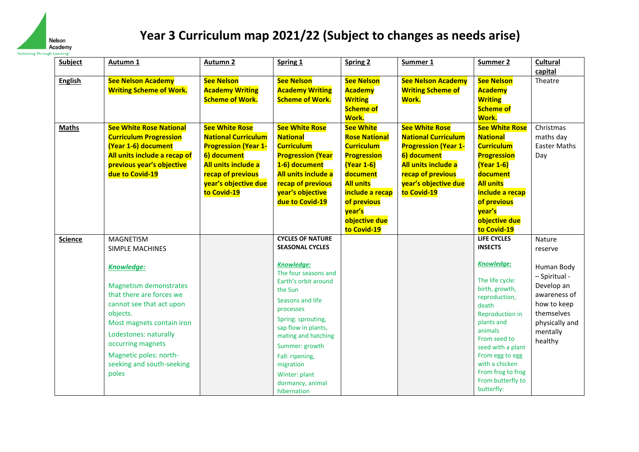

| <b>Subject</b> | Autumn <sub>1</sub>                                                                                                                                                                                                                                                                                      | <b>Autumn 2</b>                                                                                                                                                                      | Spring 1                                                                                                                                                                                                                                                                                                                              | <b>Spring 2</b>                                                                                                                                                                                                      | Summer 1                                                                                                                                                                             | Summer 2                                                                                                                                                                                                                                                                                                      | <b>Cultural</b>                                                                                                                                      |
|----------------|----------------------------------------------------------------------------------------------------------------------------------------------------------------------------------------------------------------------------------------------------------------------------------------------------------|--------------------------------------------------------------------------------------------------------------------------------------------------------------------------------------|---------------------------------------------------------------------------------------------------------------------------------------------------------------------------------------------------------------------------------------------------------------------------------------------------------------------------------------|----------------------------------------------------------------------------------------------------------------------------------------------------------------------------------------------------------------------|--------------------------------------------------------------------------------------------------------------------------------------------------------------------------------------|---------------------------------------------------------------------------------------------------------------------------------------------------------------------------------------------------------------------------------------------------------------------------------------------------------------|------------------------------------------------------------------------------------------------------------------------------------------------------|
| <b>English</b> | <b>See Nelson Academy</b><br><b>Writing Scheme of Work.</b>                                                                                                                                                                                                                                              | <b>See Nelson</b><br><b>Academy Writing</b><br><b>Scheme of Work.</b>                                                                                                                | <b>See Nelson</b><br><b>Academy Writing</b><br><b>Scheme of Work.</b>                                                                                                                                                                                                                                                                 | <b>See Nelson</b><br><b>Academy</b><br><b>Writing</b><br><b>Scheme of</b><br>Work.                                                                                                                                   | <b>See Nelson Academy</b><br><b>Writing Scheme of</b><br>Work.                                                                                                                       | <b>See Nelson</b><br><b>Academy</b><br><b>Writing</b><br><b>Scheme of</b><br><b>Work.</b>                                                                                                                                                                                                                     | capital<br>Theatre                                                                                                                                   |
| <b>Maths</b>   | <b>See White Rose National</b><br><b>Curriculum Progression</b><br>(Year 1-6) document<br>All units include a recap of<br>previous year's objective<br>due to Covid-19                                                                                                                                   | <b>See White Rose</b><br><b>National Curriculum</b><br><b>Progression (Year 1-</b><br>6) document<br>All units include a<br>recap of previous<br>year's objective due<br>to Covid-19 | <b>See White Rose</b><br><b>National</b><br><b>Curriculum</b><br><b>Progression (Year</b><br>1-6) document<br>All units include a<br>recap of previous<br>year's objective<br>due to Covid-19                                                                                                                                         | <b>See White</b><br><b>Rose National</b><br><b>Curriculum</b><br><b>Progression</b><br><b>(Year 1-6)</b><br>document<br><b>All units</b><br>include a recap<br>of previous<br>year's<br>objective due<br>to Covid-19 | <b>See White Rose</b><br><b>National Curriculum</b><br><b>Progression (Year 1-</b><br>6) document<br>All units include a<br>recap of previous<br>year's objective due<br>to Covid-19 | <b>See White Rose</b><br><b>National</b><br><b>Curriculum</b><br><b>Progression</b><br><b>(Year 1-6)</b><br>document<br><b>All units</b><br>include a recap<br>of previous<br>year's<br>objective due<br>to Covid-19                                                                                          | Christmas<br>maths day<br><b>Easter Maths</b><br>Day                                                                                                 |
| <b>Science</b> | <b>MAGNETISM</b><br><b>SIMPLE MACHINES</b><br>Knowledge:<br><b>Magnetism demonstrates</b><br>that there are forces we<br>cannot see that act upon<br>objects.<br>Most magnets contain iron<br>Lodestones: naturally<br>occurring magnets<br>Magnetic poles: north-<br>seeking and south-seeking<br>poles |                                                                                                                                                                                      | <b>CYCLES OF NATURE</b><br><b>SEASONAL CYCLES</b><br>Knowledge:<br>The four seasons and<br>Earth's orbit around<br>the Sun<br>Seasons and life<br>processes<br>Spring: sprouting,<br>sap flow in plants,<br>mating and hatching<br>Summer: growth<br>Fall: ripening,<br>migration<br>Winter: plant<br>dormancy, animal<br>hibernation |                                                                                                                                                                                                                      |                                                                                                                                                                                      | <b>LIFE CYCLES</b><br><b>INSECTS</b><br><b>Knowledge:</b><br>The life cycle:<br>birth, growth,<br>reproduction,<br>death<br><b>Reproduction in</b><br>plants and<br>animals<br>From seed to<br>seed with a plant<br>From egg to egg<br>with a chicken<br>From frog to frog<br>From butterfly to<br>butterfly: | Nature<br>reserve<br>Human Body<br>- Spiritual -<br>Develop an<br>awareness of<br>how to keep<br>themselves<br>physically and<br>mentally<br>healthy |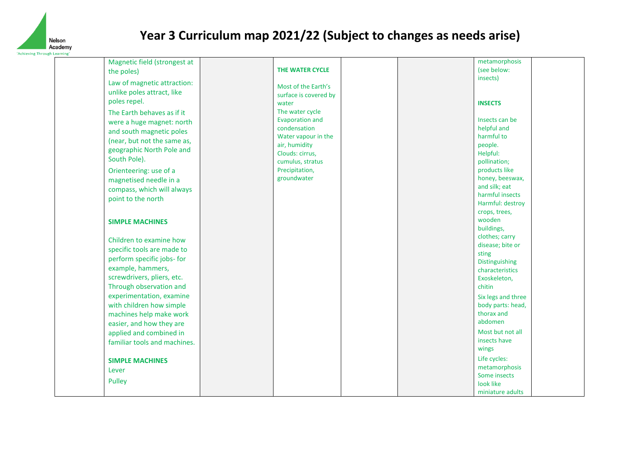

|                            | Magnetic field (strongest at |                        |  | metamorphosis      |  |
|----------------------------|------------------------------|------------------------|--|--------------------|--|
| the poles)                 |                              | THE WATER CYCLE        |  | (see below:        |  |
|                            | Law of magnetic attraction:  |                        |  | insects)           |  |
| unlike poles attract, like |                              | Most of the Earth's    |  |                    |  |
|                            |                              | surface is covered by  |  |                    |  |
| poles repel.               |                              | water                  |  | <b>INSECTS</b>     |  |
| The Earth behaves as if it |                              | The water cycle        |  |                    |  |
|                            | were a huge magnet: north    | <b>Evaporation and</b> |  | Insects can be     |  |
| and south magnetic poles   |                              | condensation           |  | helpful and        |  |
|                            | (near, but not the same as,  | Water vapour in the    |  | harmful to         |  |
|                            | geographic North Pole and    | air, humidity          |  | people.            |  |
|                            |                              | Clouds: cirrus,        |  | Helpful:           |  |
| South Pole).               |                              | cumulus, stratus       |  | pollination;       |  |
| Orienteering: use of a     |                              | Precipitation,         |  | products like      |  |
| magnetised needle in a     |                              | groundwater            |  | honey, beeswax,    |  |
|                            | compass, which will always   |                        |  | and silk; eat      |  |
| point to the north         |                              |                        |  | harmful insects    |  |
|                            |                              |                        |  | Harmful: destroy   |  |
|                            |                              |                        |  | crops, trees,      |  |
| <b>SIMPLE MACHINES</b>     |                              |                        |  | wooden             |  |
|                            |                              |                        |  | buildings,         |  |
| Children to examine how    |                              |                        |  | clothes; carry     |  |
| specific tools are made to |                              |                        |  | disease; bite or   |  |
| perform specific jobs- for |                              |                        |  | sting              |  |
|                            |                              |                        |  | Distinguishing     |  |
| example, hammers,          |                              |                        |  | characteristics    |  |
| screwdrivers, pliers, etc. |                              |                        |  | Exoskeleton,       |  |
| Through observation and    |                              |                        |  | chitin             |  |
|                            | experimentation, examine     |                        |  | Six legs and three |  |
| with children how simple   |                              |                        |  | body parts: head,  |  |
|                            | machines help make work      |                        |  | thorax and         |  |
| easier, and how they are   |                              |                        |  | abdomen            |  |
| applied and combined in    |                              |                        |  | Most but not all   |  |
|                            | familiar tools and machines. |                        |  | insects have       |  |
|                            |                              |                        |  | wings              |  |
| <b>SIMPLE MACHINES</b>     |                              |                        |  | Life cycles:       |  |
|                            |                              |                        |  | metamorphosis      |  |
| Lever                      |                              |                        |  | Some insects       |  |
| <b>Pulley</b>              |                              |                        |  | look like          |  |
|                            |                              |                        |  | miniature adults   |  |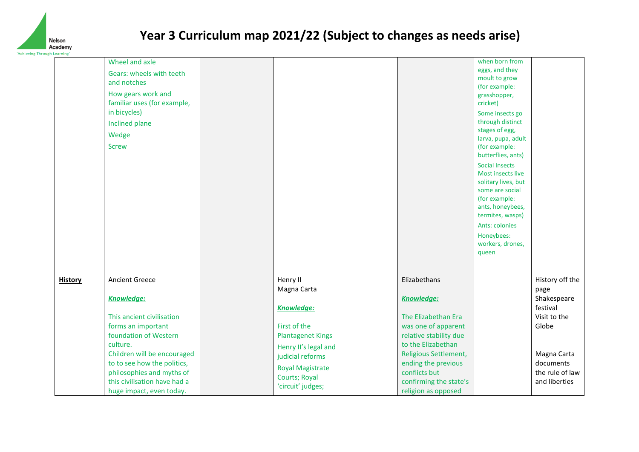

|                | Wheel and axle               |                          |                        | when born from                       |                 |
|----------------|------------------------------|--------------------------|------------------------|--------------------------------------|-----------------|
|                | Gears: wheels with teeth     |                          |                        | eggs, and they                       |                 |
|                | and notches                  |                          |                        | moult to grow                        |                 |
|                | How gears work and           |                          |                        | (for example:                        |                 |
|                | familiar uses (for example,  |                          |                        | grasshopper,<br>cricket)             |                 |
|                | in bicycles)                 |                          |                        |                                      |                 |
|                |                              |                          |                        | Some insects go<br>through distinct  |                 |
|                | <b>Inclined plane</b>        |                          |                        | stages of egg,                       |                 |
|                | Wedge                        |                          |                        | larva, pupa, adult                   |                 |
|                | <b>Screw</b>                 |                          |                        | (for example:                        |                 |
|                |                              |                          |                        | butterflies, ants)                   |                 |
|                |                              |                          |                        | <b>Social Insects</b>                |                 |
|                |                              |                          |                        | Most insects live                    |                 |
|                |                              |                          |                        | solitary lives, but                  |                 |
|                |                              |                          |                        | some are social                      |                 |
|                |                              |                          |                        | (for example:                        |                 |
|                |                              |                          |                        | ants, honeybees,<br>termites, wasps) |                 |
|                |                              |                          |                        | Ants: colonies                       |                 |
|                |                              |                          |                        |                                      |                 |
|                |                              |                          |                        | Honeybees:<br>workers, drones,       |                 |
|                |                              |                          |                        | queen                                |                 |
|                |                              |                          |                        |                                      |                 |
|                |                              |                          |                        |                                      |                 |
| <b>History</b> | <b>Ancient Greece</b>        | Henry II                 | Elizabethans           |                                      | History off the |
|                |                              | Magna Carta              |                        |                                      | page            |
|                | Knowledge:                   |                          | <b>Knowledge:</b>      |                                      | Shakespeare     |
|                |                              | Knowledge:               |                        |                                      | festival        |
|                | This ancient civilisation    |                          | The Elizabethan Era    |                                      | Visit to the    |
|                | forms an important           | First of the             | was one of apparent    |                                      | Globe           |
|                | foundation of Western        | <b>Plantagenet Kings</b> | relative stability due |                                      |                 |
|                | culture.                     | Henry II's legal and     | to the Elizabethan     |                                      |                 |
|                | Children will be encouraged  | judicial reforms         | Religious Settlement,  |                                      | Magna Carta     |
|                | to to see how the politics,  | <b>Royal Magistrate</b>  | ending the previous    |                                      | documents       |
|                | philosophies and myths of    | Courts; Royal            | conflicts but          |                                      | the rule of law |
|                | this civilisation have had a | 'circuit' judges;        | confirming the state's |                                      | and liberties   |
|                | huge impact, even today.     |                          | religion as opposed    |                                      |                 |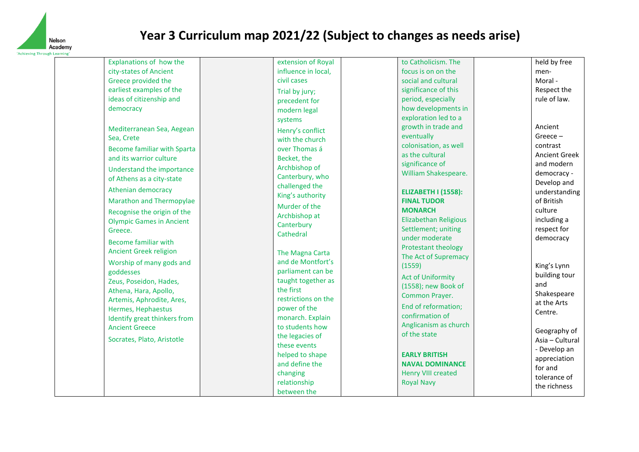

| Explanations of how the            | extension of Royal  | to Catholicism. The                             | held by free         |
|------------------------------------|---------------------|-------------------------------------------------|----------------------|
| city-states of Ancient             | influence in local, | focus is on on the                              | men-                 |
| Greece provided the                | civil cases         | social and cultural                             | Moral -              |
| earliest examples of the           | Trial by jury;      | significance of this                            | Respect the          |
| ideas of citizenship and           | precedent for       | period, especially                              | rule of law.         |
| democracy                          | modern legal        | how developments in                             |                      |
|                                    | systems             | exploration led to a                            |                      |
| Mediterranean Sea, Aegean          | Henry's conflict    | growth in trade and                             | Ancient              |
| Sea, Crete                         | with the church     | eventually                                      | $Greeze -$           |
| <b>Become familiar with Sparta</b> | over Thomas á       | colonisation, as well                           | contrast             |
| and its warrior culture            | Becket, the         | as the cultural                                 | <b>Ancient Greek</b> |
| Understand the importance          | Archbishop of       | significance of                                 | and modern           |
| of Athens as a city-state          | Canterbury, who     | William Shakespeare.                            | democracy -          |
| Athenian democracy                 | challenged the      |                                                 | Develop and          |
|                                    | King's authority    | <b>ELIZABETH I (1558):</b>                      | understanding        |
| <b>Marathon and Thermopylae</b>    | Murder of the       | <b>FINAL TUDOR</b>                              | of British           |
| Recognise the origin of the        | Archbishop at       | <b>MONARCH</b>                                  | culture              |
| <b>Olympic Games in Ancient</b>    | Canterbury          | <b>Elizabethan Religious</b>                    | including a          |
| Greece.                            | Cathedral           | Settlement; uniting<br>under moderate           | respect for          |
| <b>Become familiar with</b>        |                     | Protestant theology                             | democracy            |
| <b>Ancient Greek religion</b>      | The Magna Carta     | The Act of Supremacy                            |                      |
| Worship of many gods and           | and de Montfort's   | (1559)                                          | King's Lynn          |
| goddesses                          | parliament can be   |                                                 | building tour        |
| Zeus, Poseidon, Hades,             | taught together as  | <b>Act of Uniformity</b><br>(1558); new Book of | and                  |
| Athena, Hara, Apollo,              | the first           | Common Prayer.                                  | Shakespeare          |
| Artemis, Aphrodite, Ares,          | restrictions on the |                                                 | at the Arts          |
| Hermes, Hephaestus                 | power of the        | End of reformation;                             | Centre.              |
| Identify great thinkers from       | monarch. Explain    | confirmation of                                 |                      |
| <b>Ancient Greece</b>              | to students how     | Anglicanism as church                           | Geography of         |
| Socrates, Plato, Aristotle         | the legacies of     | of the state                                    | Asia - Cultural      |
|                                    | these events        |                                                 | - Develop an         |
|                                    | helped to shape     | <b>EARLY BRITISH</b>                            | appreciation         |
|                                    | and define the      | <b>NAVAL DOMINANCE</b>                          | for and              |
|                                    | changing            | <b>Henry VIII created</b>                       | tolerance of         |
|                                    | relationship        | <b>Royal Navy</b>                               | the richness         |
|                                    | between the         |                                                 |                      |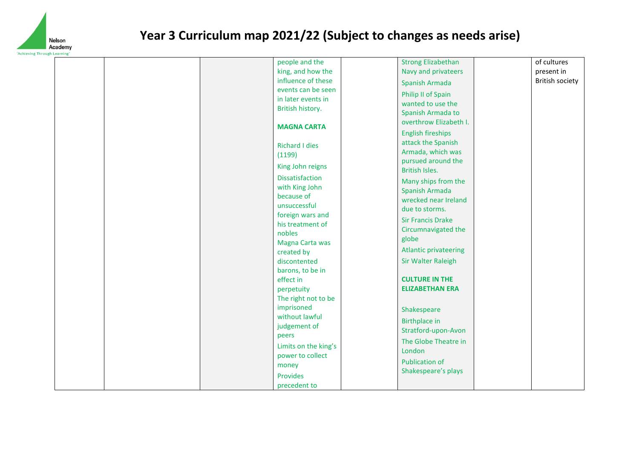

| g Trirough Learning | people and the                                                                                                                                                                                                                                                           | <b>Strong Elizabethan</b>                                                                                                                                                                                                                                                  | of cultures     |
|---------------------|--------------------------------------------------------------------------------------------------------------------------------------------------------------------------------------------------------------------------------------------------------------------------|----------------------------------------------------------------------------------------------------------------------------------------------------------------------------------------------------------------------------------------------------------------------------|-----------------|
|                     | king, and how the                                                                                                                                                                                                                                                        | Navy and privateers                                                                                                                                                                                                                                                        | present in      |
|                     | influence of these                                                                                                                                                                                                                                                       | Spanish Armada                                                                                                                                                                                                                                                             | British society |
|                     | events can be seen<br>in later events in<br>British history.                                                                                                                                                                                                             | Philip II of Spain<br>wanted to use the<br>Spanish Armada to                                                                                                                                                                                                               |                 |
|                     | <b>MAGNA CARTA</b>                                                                                                                                                                                                                                                       | overthrow Elizabeth I.<br><b>English fireships</b>                                                                                                                                                                                                                         |                 |
|                     | <b>Richard I dies</b><br>(1199)<br>King John reigns                                                                                                                                                                                                                      | attack the Spanish<br>Armada, which was<br>pursued around the<br>British Isles.                                                                                                                                                                                            |                 |
|                     | Dissatisfaction<br>with King John<br>because of<br>unsuccessful<br>foreign wars and<br>his treatment of<br>nobles<br>Magna Carta was<br>created by<br>discontented<br>barons, to be in<br>effect in<br>perpetuity<br>The right not to be<br>imprisoned<br>without lawful | Many ships from the<br>Spanish Armada<br>wrecked near Ireland<br>due to storms.<br><b>Sir Francis Drake</b><br>Circumnavigated the<br>globe<br><b>Atlantic privateering</b><br><b>Sir Walter Raleigh</b><br><b>CULTURE IN THE</b><br><b>ELIZABETHAN ERA</b><br>Shakespeare |                 |
|                     | judgement of<br>peers<br>Limits on the king's<br>power to collect<br>money<br>Provides                                                                                                                                                                                   | <b>Birthplace in</b><br>Stratford-upon-Avon<br>The Globe Theatre in<br>London<br><b>Publication of</b><br>Shakespeare's plays                                                                                                                                              |                 |
|                     | precedent to                                                                                                                                                                                                                                                             |                                                                                                                                                                                                                                                                            |                 |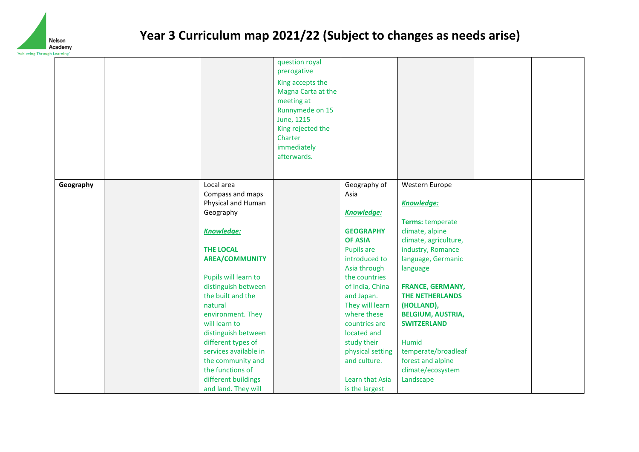

|           |                       | question royal<br>prerogative<br>King accepts the<br>Magna Carta at the<br>meeting at<br>Runnymede on 15<br>June, 1215<br>King rejected the<br>Charter<br>immediately<br>afterwards. |                   |                          |  |
|-----------|-----------------------|--------------------------------------------------------------------------------------------------------------------------------------------------------------------------------------|-------------------|--------------------------|--|
| Geography | Local area            |                                                                                                                                                                                      | Geography of      | Western Europe           |  |
|           | Compass and maps      |                                                                                                                                                                                      | Asia              |                          |  |
|           | Physical and Human    |                                                                                                                                                                                      |                   | <b>Knowledge:</b>        |  |
|           | Geography             |                                                                                                                                                                                      | <b>Knowledge:</b> |                          |  |
|           |                       |                                                                                                                                                                                      |                   | Terms: temperate         |  |
|           | <b>Knowledge:</b>     |                                                                                                                                                                                      | <b>GEOGRAPHY</b>  | climate, alpine          |  |
|           |                       |                                                                                                                                                                                      | <b>OF ASIA</b>    | climate, agriculture,    |  |
|           | <b>THE LOCAL</b>      |                                                                                                                                                                                      | Pupils are        | industry, Romance        |  |
|           | <b>AREA/COMMUNITY</b> |                                                                                                                                                                                      | introduced to     | language, Germanic       |  |
|           |                       |                                                                                                                                                                                      | Asia through      | language                 |  |
|           | Pupils will learn to  |                                                                                                                                                                                      | the countries     |                          |  |
|           | distinguish between   |                                                                                                                                                                                      | of India, China   | <b>FRANCE, GERMANY,</b>  |  |
|           | the built and the     |                                                                                                                                                                                      | and Japan.        | <b>THE NETHERLANDS</b>   |  |
|           | natural               |                                                                                                                                                                                      | They will learn   | (HOLLAND),               |  |
|           | environment. They     |                                                                                                                                                                                      | where these       | <b>BELGIUM, AUSTRIA,</b> |  |
|           | will learn to         |                                                                                                                                                                                      | countries are     | <b>SWITZERLAND</b>       |  |
|           | distinguish between   |                                                                                                                                                                                      | located and       |                          |  |
|           | different types of    |                                                                                                                                                                                      | study their       | Humid                    |  |
|           | services available in |                                                                                                                                                                                      | physical setting  | temperate/broadleaf      |  |
|           | the community and     |                                                                                                                                                                                      | and culture.      | forest and alpine        |  |
|           | the functions of      |                                                                                                                                                                                      |                   | climate/ecosystem        |  |
|           | different buildings   |                                                                                                                                                                                      | Learn that Asia   | Landscape                |  |
|           | and land. They will   |                                                                                                                                                                                      | is the largest    |                          |  |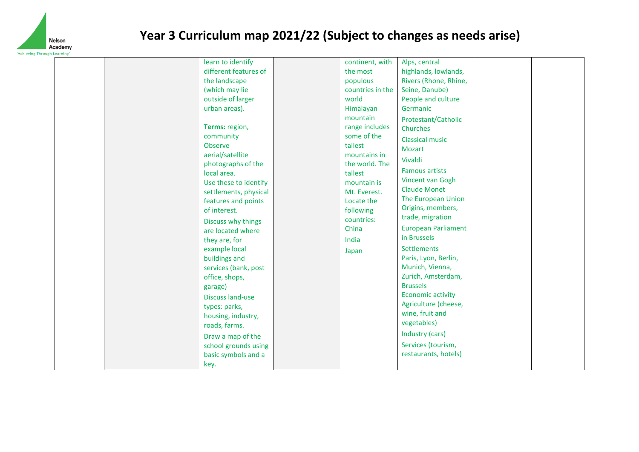

| learn to identify<br>different features of<br>the landscape<br>(which may lie<br>outside of larger<br>urban areas).<br>Terms: region,<br>community<br><b>Observe</b><br>aerial/satellite<br>photographs of the<br>local area.<br>Use these to identify<br>settlements, physical<br>features and points<br>of interest.<br>Discuss why things<br>are located where<br>they are, for<br>example local<br>buildings and<br>services (bank, post<br>office, shops,<br>garage)<br><b>Discuss land-use</b><br>types: parks,<br>housing, industry,<br>roads, farms. | continent, with<br>the most<br>populous<br>countries in the<br>world<br>Himalayan<br>mountain<br>range includes<br>some of the<br>tallest<br>mountains in<br>the world. The<br>tallest<br>mountain is<br>Mt. Everest.<br>Locate the<br>following<br>countries:<br>China<br>India<br>Japan | Alps, central<br>highlands, lowlands,<br>Rivers (Rhone, Rhine,<br>Seine, Danube)<br>People and culture<br>Germanic<br>Protestant/Catholic<br>Churches<br><b>Classical music</b><br><b>Mozart</b><br>Vivaldi<br><b>Famous artists</b><br>Vincent van Gogh<br><b>Claude Monet</b><br>The European Union<br>Origins, members,<br>trade, migration<br><b>European Parliament</b><br>in Brussels<br>Settlements<br>Paris, Lyon, Berlin,<br>Munich, Vienna,<br>Zurich, Amsterdam,<br><b>Brussels</b><br><b>Economic activity</b><br>Agriculture (cheese,<br>wine, fruit and<br>vegetables) |  |
|--------------------------------------------------------------------------------------------------------------------------------------------------------------------------------------------------------------------------------------------------------------------------------------------------------------------------------------------------------------------------------------------------------------------------------------------------------------------------------------------------------------------------------------------------------------|-------------------------------------------------------------------------------------------------------------------------------------------------------------------------------------------------------------------------------------------------------------------------------------------|--------------------------------------------------------------------------------------------------------------------------------------------------------------------------------------------------------------------------------------------------------------------------------------------------------------------------------------------------------------------------------------------------------------------------------------------------------------------------------------------------------------------------------------------------------------------------------------|--|
| Draw a map of the<br>school grounds using<br>basic symbols and a                                                                                                                                                                                                                                                                                                                                                                                                                                                                                             |                                                                                                                                                                                                                                                                                           | Industry (cars)<br>Services (tourism,<br>restaurants, hotels)                                                                                                                                                                                                                                                                                                                                                                                                                                                                                                                        |  |
| key.                                                                                                                                                                                                                                                                                                                                                                                                                                                                                                                                                         |                                                                                                                                                                                                                                                                                           |                                                                                                                                                                                                                                                                                                                                                                                                                                                                                                                                                                                      |  |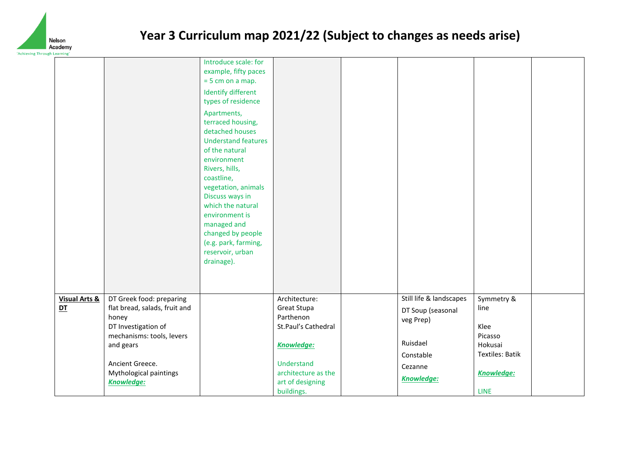

| irougn Learning                |                                                                                                                                     |                                                                                                                                                                                                                                |                                                                                       |                                                                                    |                                                                            |  |
|--------------------------------|-------------------------------------------------------------------------------------------------------------------------------------|--------------------------------------------------------------------------------------------------------------------------------------------------------------------------------------------------------------------------------|---------------------------------------------------------------------------------------|------------------------------------------------------------------------------------|----------------------------------------------------------------------------|--|
|                                |                                                                                                                                     | Introduce scale: for<br>example, fifty paces<br>$= 5$ cm on a map.<br><b>Identify different</b><br>types of residence<br>Apartments,<br>terraced housing,<br>detached houses<br><b>Understand features</b>                     |                                                                                       |                                                                                    |                                                                            |  |
|                                |                                                                                                                                     | of the natural<br>environment<br>Rivers, hills,<br>coastline,<br>vegetation, animals<br>Discuss ways in<br>which the natural<br>environment is<br>managed and<br>changed by people<br>(e.g. park, farming,<br>reservoir, urban |                                                                                       |                                                                                    |                                                                            |  |
|                                |                                                                                                                                     | drainage).                                                                                                                                                                                                                     |                                                                                       |                                                                                    |                                                                            |  |
| <b>Visual Arts &amp;</b><br>DT | DT Greek food: preparing<br>flat bread, salads, fruit and<br>honey<br>DT Investigation of<br>mechanisms: tools, levers<br>and gears |                                                                                                                                                                                                                                | Architecture:<br>Great Stupa<br>Parthenon<br>St.Paul's Cathedral<br><b>Knowledge:</b> | Still life & landscapes<br>DT Soup (seasonal<br>veg Prep)<br>Ruisdael<br>Constable | Symmetry &<br>line<br>Klee<br>Picasso<br>Hokusai<br><b>Textiles: Batik</b> |  |
|                                | Ancient Greece.<br>Mythological paintings<br><b>Knowledge:</b>                                                                      |                                                                                                                                                                                                                                | Understand<br>architecture as the<br>art of designing<br>buildings.                   | Cezanne<br><b>Knowledge:</b>                                                       | <b>Knowledge:</b><br><b>LINE</b>                                           |  |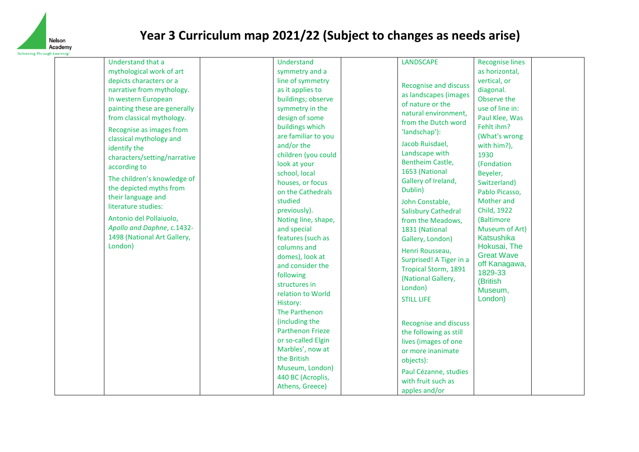

| Understand that a            | Understand              | <b>LANDSCAPE</b>             | <b>Recognise lines</b> |
|------------------------------|-------------------------|------------------------------|------------------------|
| mythological work of art     | symmetry and a          |                              | as horizontal,         |
| depicts characters or a      | line of symmetry        |                              | vertical, or           |
| narrative from mythology.    | as it applies to        | <b>Recognise and discuss</b> | diagonal.              |
| In western European          | buildings; observe      | as landscapes (images        | Observe the            |
| painting these are generally | symmetry in the         | of nature or the             | use of line in:        |
| from classical mythology.    | design of some          | natural environment,         | Paul Klee, Was         |
|                              | buildings which         | from the Dutch word          | Fehlt ihm?             |
| Recognise as images from     | are familiar to you     | 'landschap'):                | (What's wrong          |
| classical mythology and      | and/or the              | Jacob Ruisdael,              | with him?),            |
| identify the                 | children (you could     | Landscape with               | 1930                   |
| characters/setting/narrative | look at your            | Bentheim Castle,             | (Fondation             |
| according to                 | school, local           | 1653 (National               | Beyeler,               |
| The children's knowledge of  | houses, or focus        | Gallery of Ireland,          | Switzerland)           |
| the depicted myths from      | on the Cathedrals       | Dublin)                      | Pablo Picasso,         |
| their language and           | studied                 | John Constable,              | Mother and             |
| literature studies:          | previously).            | <b>Salisbury Cathedral</b>   | Child, 1922            |
| Antonio del Pollaiuolo,      | Noting line, shape,     | from the Meadows,            | (Baltimore             |
| Apollo and Daphne, c.1432-   | and special             | 1831 (National               | Museum of Art)         |
| 1498 (National Art Gallery,  | features (such as       | Gallery, London)             | Katsushika             |
| London)                      | columns and             | Henri Rousseau,              | Hokusai, The           |
|                              | domes), look at         | Surprised! A Tiger in a      | <b>Great Wave</b>      |
|                              | and consider the        | Tropical Storm, 1891         | off Kanagawa,          |
|                              | following               | (National Gallery,           | 1829-33                |
|                              | structures in           | London)                      | (British               |
|                              | relation to World       |                              | Museum,                |
|                              | History:                | <b>STILL LIFE</b>            | London)                |
|                              | The Parthenon           |                              |                        |
|                              | (including the          | Recognise and discuss        |                        |
|                              | <b>Parthenon Frieze</b> | the following as still       |                        |
|                              | or so-called Elgin      | lives (images of one         |                        |
|                              | Marbles', now at        | or more inanimate            |                        |
|                              | the British             | objects):                    |                        |
|                              | Museum, London)         | Paul Cézanne, studies        |                        |
|                              | 440 BC (Acroplis,       | with fruit such as           |                        |
|                              | Athens, Greece)         |                              |                        |
|                              |                         | apples and/or                |                        |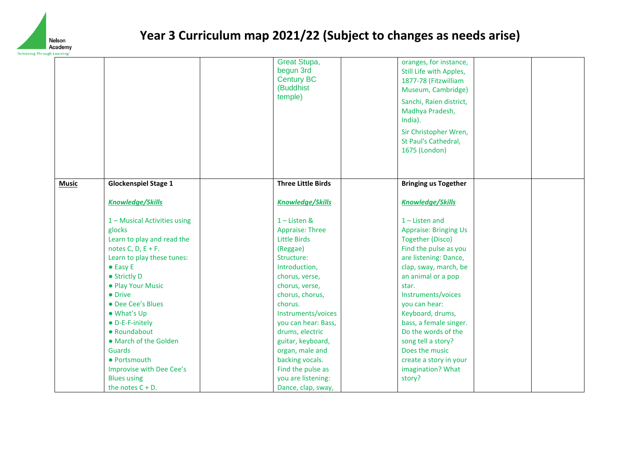

|              |                                                                                                                                                                                                                                                                                                                                                                                                           | Great Stupa,<br>begun 3rd<br><b>Century BC</b><br>(Buddhist<br>temple)                                                                                                                                                                                                                                                                                            | oranges, for instance,<br>Still Life with Apples,<br>1877-78 (Fitzwilliam<br>Museum, Cambridge)<br>Sanchi, Raien district,<br>Madhya Pradesh,<br>India).<br>Sir Christopher Wren,<br>St Paul's Cathedral,<br>1675 (London)                                                                                                                                                                         |  |
|--------------|-----------------------------------------------------------------------------------------------------------------------------------------------------------------------------------------------------------------------------------------------------------------------------------------------------------------------------------------------------------------------------------------------------------|-------------------------------------------------------------------------------------------------------------------------------------------------------------------------------------------------------------------------------------------------------------------------------------------------------------------------------------------------------------------|----------------------------------------------------------------------------------------------------------------------------------------------------------------------------------------------------------------------------------------------------------------------------------------------------------------------------------------------------------------------------------------------------|--|
| <b>Music</b> | <b>Glockenspiel Stage 1</b>                                                                                                                                                                                                                                                                                                                                                                               | <b>Three Little Birds</b>                                                                                                                                                                                                                                                                                                                                         | <b>Bringing us Together</b>                                                                                                                                                                                                                                                                                                                                                                        |  |
|              | <b>Knowledge/Skills</b>                                                                                                                                                                                                                                                                                                                                                                                   | <b>Knowledge/Skills</b>                                                                                                                                                                                                                                                                                                                                           | <b>Knowledge/Skills</b>                                                                                                                                                                                                                                                                                                                                                                            |  |
|              | 1 - Musical Activities using<br>glocks<br>Learn to play and read the<br>notes C, D, $E + F$ .<br>Learn to play these tunes:<br>$\bullet$ Easy E<br>• Strictly D<br>• Play Your Music<br>• Drive<br>• Dee Cee's Blues<br>• What's Up<br>• D-E-F-initely<br>• Roundabout<br>• March of the Golden<br><b>Guards</b><br>• Portsmouth<br>Improvise with Dee Cee's<br><b>Blues using</b><br>the notes $C + D$ . | $1$ – Listen &<br>Appraise: Three<br><b>Little Birds</b><br>(Reggae)<br>Structure:<br>Introduction,<br>chorus, verse,<br>chorus, verse,<br>chorus, chorus,<br>chorus.<br>Instruments/voices<br>you can hear: Bass,<br>drums, electric<br>guitar, keyboard,<br>organ, male and<br>backing vocals.<br>Find the pulse as<br>you are listening:<br>Dance, clap, sway, | $1$ – Listen and<br><b>Appraise: Bringing Us</b><br><b>Together (Disco)</b><br>Find the pulse as you<br>are listening: Dance,<br>clap, sway, march, be<br>an animal or a pop<br>star.<br>Instruments/voices<br>you can hear:<br>Keyboard, drums,<br>bass, a female singer.<br>Do the words of the<br>song tell a story?<br>Does the music<br>create a story in your<br>imagination? What<br>story? |  |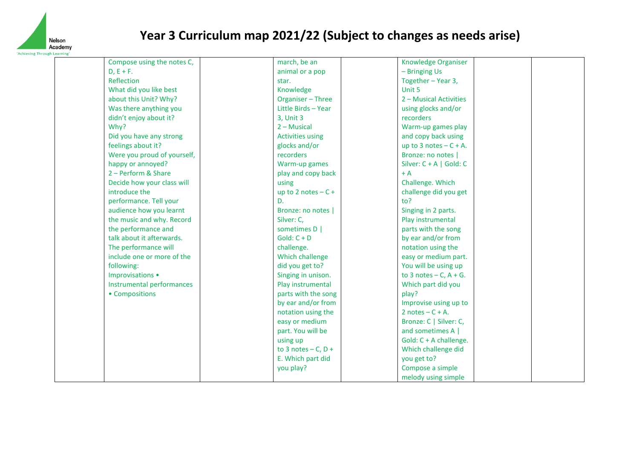

| Compose using the notes C,  | march, be an            | <b>Knowledge Organiser</b> |  |
|-----------------------------|-------------------------|----------------------------|--|
| $D, E + F.$                 | animal or a pop         | - Bringing Us              |  |
| Reflection                  | star.                   | Together - Year 3,         |  |
| What did you like best      | Knowledge               | Unit 5                     |  |
| about this Unit? Why?       | Organiser - Three       | 2 - Musical Activities     |  |
| Was there anything you      | Little Birds - Year     | using glocks and/or        |  |
| didn't enjoy about it?      | 3, Unit 3               | recorders                  |  |
| Why?                        | $2 -$ Musical           | Warm-up games play         |  |
| Did you have any strong     | <b>Activities using</b> | and copy back using        |  |
| feelings about it?          | glocks and/or           | up to 3 notes $- C + A$ .  |  |
| Were you proud of yourself, | recorders               | Bronze: no notes           |  |
| happy or annoyed?           | Warm-up games           | Silver: $C + A$   Gold: C  |  |
| 2 - Perform & Share         | play and copy back      | $+A$                       |  |
| Decide how your class will  | using                   | Challenge. Which           |  |
| introduce the               | up to 2 notes $-C +$    | challenge did you get      |  |
| performance. Tell your      | D.                      | to?                        |  |
| audience how you learnt     | Bronze: no notes        | Singing in 2 parts.        |  |
| the music and why. Record   | Silver: C,              | Play instrumental          |  |
| the performance and         | sometimes D             | parts with the song        |  |
| talk about it afterwards.   | $Gold: C + D$           | by ear and/or from         |  |
| The performance will        | challenge.              | notation using the         |  |
| include one or more of the  | Which challenge         | easy or medium part.       |  |
| following:                  | did you get to?         | You will be using up       |  |
| Improvisations •            | Singing in unison.      | to 3 notes $-$ C, A + G.   |  |
| Instrumental performances   | Play instrumental       | Which part did you         |  |
| • Compositions              | parts with the song     | play?                      |  |
|                             | by ear and/or from      | Improvise using up to      |  |
|                             | notation using the      | 2 notes $- C + A$ .        |  |
|                             | easy or medium          | Bronze: C   Silver: C,     |  |
|                             | part. You will be       | and sometimes A            |  |
|                             | using up                | Gold: C + A challenge.     |  |
|                             | to 3 notes $-$ C, D +   | Which challenge did        |  |
|                             | E. Which part did       | you get to?                |  |
|                             | you play?               | Compose a simple           |  |
|                             |                         | melody using simple        |  |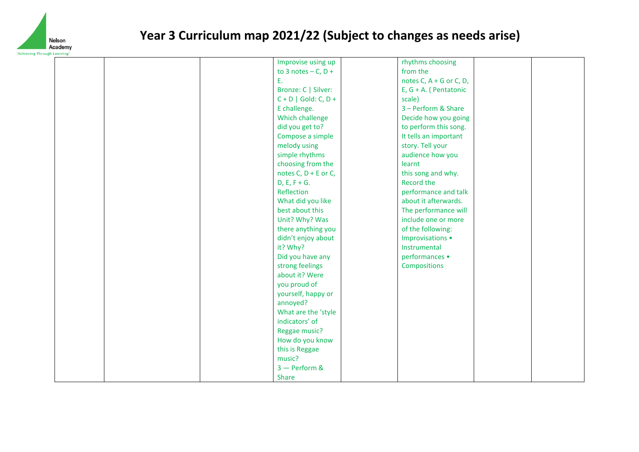

| Learning |                        |                           |  |
|----------|------------------------|---------------------------|--|
|          | Improvise using up     | rhythms choosing          |  |
|          | to 3 notes $- C, D +$  | from the                  |  |
|          | Ε.                     | notes C, $A + G$ or C, D, |  |
|          | Bronze: C   Silver:    | $E, G + A.$ (Pentatonic   |  |
|          | $C + D$   Gold: C, D + | scale)                    |  |
|          | E challenge.           | 3 - Perform & Share       |  |
|          | Which challenge        | Decide how you going      |  |
|          | did you get to?        | to perform this song.     |  |
|          | Compose a simple       | It tells an important     |  |
|          | melody using           | story. Tell your          |  |
|          | simple rhythms         | audience how you          |  |
|          | choosing from the      | learnt                    |  |
|          | notes C, $D + E$ or C, | this song and why.        |  |
|          | $D, E, F + G.$         | Record the                |  |
|          | Reflection             | performance and talk      |  |
|          | What did you like      | about it afterwards.      |  |
|          | best about this        | The performance will      |  |
|          | Unit? Why? Was         | include one or more       |  |
|          | there anything you     | of the following:         |  |
|          | didn't enjoy about     | Improvisations •          |  |
|          | it? Why?               | Instrumental              |  |
|          | Did you have any       | performances •            |  |
|          | strong feelings        | Compositions              |  |
|          | about it? Were         |                           |  |
|          | you proud of           |                           |  |
|          | yourself, happy or     |                           |  |
|          | annoyed?               |                           |  |
|          | What are the 'style    |                           |  |
|          | indicators' of         |                           |  |
|          | Reggae music?          |                           |  |
|          | How do you know        |                           |  |
|          | this is Reggae         |                           |  |
|          | music?                 |                           |  |
|          | $3$ - Perform &        |                           |  |
|          | Share                  |                           |  |
|          |                        |                           |  |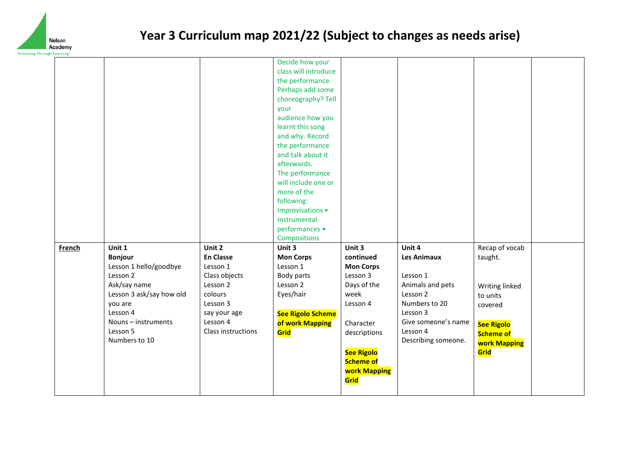

| iii ougii Leariiiig |                          |                    |                          |                     |                     |                     |  |
|---------------------|--------------------------|--------------------|--------------------------|---------------------|---------------------|---------------------|--|
|                     |                          |                    | Decide how your          |                     |                     |                     |  |
|                     |                          |                    | class will introduce     |                     |                     |                     |  |
|                     |                          |                    | the performance.         |                     |                     |                     |  |
|                     |                          |                    | Perhaps add some         |                     |                     |                     |  |
|                     |                          |                    | choreography? Tell       |                     |                     |                     |  |
|                     |                          |                    | your                     |                     |                     |                     |  |
|                     |                          |                    | audience how you         |                     |                     |                     |  |
|                     |                          |                    | learnt this song         |                     |                     |                     |  |
|                     |                          |                    | and why. Record          |                     |                     |                     |  |
|                     |                          |                    | the performance          |                     |                     |                     |  |
|                     |                          |                    | and talk about it        |                     |                     |                     |  |
|                     |                          |                    | afterwards.              |                     |                     |                     |  |
|                     |                          |                    | The performance          |                     |                     |                     |  |
|                     |                          |                    | will include one or      |                     |                     |                     |  |
|                     |                          |                    | more of the              |                     |                     |                     |  |
|                     |                          |                    | following:               |                     |                     |                     |  |
|                     |                          |                    | Improvisations •         |                     |                     |                     |  |
|                     |                          |                    | Instrumental             |                     |                     |                     |  |
|                     |                          |                    | performances •           |                     |                     |                     |  |
|                     |                          |                    | Compositions             |                     |                     |                     |  |
| <b>French</b>       | Unit 1                   | Unit 2             | Unit 3                   | Unit 3              | Unit 4              | Recap of vocab      |  |
|                     | <b>Bonjour</b>           | <b>En Classe</b>   | <b>Mon Corps</b>         | continued           | <b>Les Animaux</b>  | taught.             |  |
|                     | Lesson 1 hello/goodbye   | Lesson 1           | Lesson 1                 | <b>Mon Corps</b>    |                     |                     |  |
|                     | Lesson 2                 | Class objects      | Body parts               | Lesson 3            | Lesson 1            |                     |  |
|                     | Ask/say name             | Lesson 2           | Lesson 2                 | Days of the         | Animals and pets    | Writing linked      |  |
|                     | Lesson 3 ask/say how old | colours            | Eyes/hair                | week                | Lesson 2            | to units            |  |
|                     | you are                  | Lesson 3           |                          | Lesson 4            | Numbers to 20       | covered             |  |
|                     | Lesson 4                 | say your age       | <b>See Rigolo Scheme</b> |                     | Lesson 3            |                     |  |
|                     | Nouns - instruments      | Lesson 4           | of work Mapping          | Character           | Give someone's name | <b>See Rigolo</b>   |  |
|                     | Lesson 5                 | Class instructions | Grid                     | descriptions        | Lesson 4            | <b>Scheme of</b>    |  |
|                     | Numbers to 10            |                    |                          |                     | Describing someone. | <b>work Mapping</b> |  |
|                     |                          |                    |                          | See Rigolo          |                     | Grid                |  |
|                     |                          |                    |                          | <b>Scheme of</b>    |                     |                     |  |
|                     |                          |                    |                          | <b>work Mapping</b> |                     |                     |  |
|                     |                          |                    |                          | Grid                |                     |                     |  |
|                     |                          |                    |                          |                     |                     |                     |  |
|                     |                          |                    |                          |                     |                     |                     |  |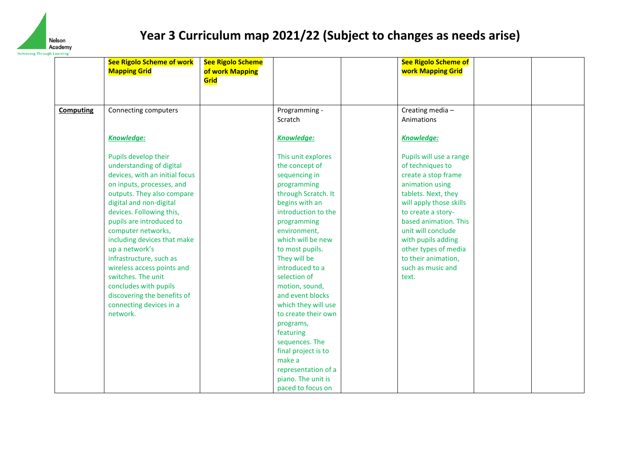

|                  | <b>See Rigolo Scheme of work</b><br><b>Mapping Grid</b>                                                                                                                                                                                                                                                                                                                                                                                                                               | <b>See Rigolo Scheme</b><br>of work Mapping<br>Grid |                                                                                                                                                                                                                                                                                                                                                                                                                                                                                                   | <b>See Rigolo Scheme of</b><br><b>work Mapping Grid</b>                                                                                                                                                                                                                                                         |  |
|------------------|---------------------------------------------------------------------------------------------------------------------------------------------------------------------------------------------------------------------------------------------------------------------------------------------------------------------------------------------------------------------------------------------------------------------------------------------------------------------------------------|-----------------------------------------------------|---------------------------------------------------------------------------------------------------------------------------------------------------------------------------------------------------------------------------------------------------------------------------------------------------------------------------------------------------------------------------------------------------------------------------------------------------------------------------------------------------|-----------------------------------------------------------------------------------------------------------------------------------------------------------------------------------------------------------------------------------------------------------------------------------------------------------------|--|
| <b>Computing</b> | Connecting computers                                                                                                                                                                                                                                                                                                                                                                                                                                                                  |                                                     | Programming -<br>Scratch                                                                                                                                                                                                                                                                                                                                                                                                                                                                          | Creating media-<br>Animations                                                                                                                                                                                                                                                                                   |  |
|                  | Knowledge:                                                                                                                                                                                                                                                                                                                                                                                                                                                                            |                                                     | <b>Knowledge:</b>                                                                                                                                                                                                                                                                                                                                                                                                                                                                                 | <b>Knowledge:</b>                                                                                                                                                                                                                                                                                               |  |
|                  | Pupils develop their<br>understanding of digital<br>devices, with an initial focus<br>on inputs, processes, and<br>outputs. They also compare<br>digital and non-digital<br>devices. Following this,<br>pupils are introduced to<br>computer networks,<br>including devices that make<br>up a network's<br>infrastructure, such as<br>wireless access points and<br>switches. The unit<br>concludes with pupils<br>discovering the benefits of<br>connecting devices in a<br>network. |                                                     | This unit explores<br>the concept of<br>sequencing in<br>programming<br>through Scratch. It<br>begins with an<br>introduction to the<br>programming<br>environment,<br>which will be new<br>to most pupils.<br>They will be<br>introduced to a<br>selection of<br>motion, sound,<br>and event blocks<br>which they will use<br>to create their own<br>programs,<br>featuring<br>sequences. The<br>final project is to<br>make a<br>representation of a<br>piano. The unit is<br>paced to focus on | Pupils will use a range<br>of techniques to<br>create a stop frame<br>animation using<br>tablets. Next, they<br>will apply those skills<br>to create a story-<br>based animation. This<br>unit will conclude<br>with pupils adding<br>other types of media<br>to their animation,<br>such as music and<br>text. |  |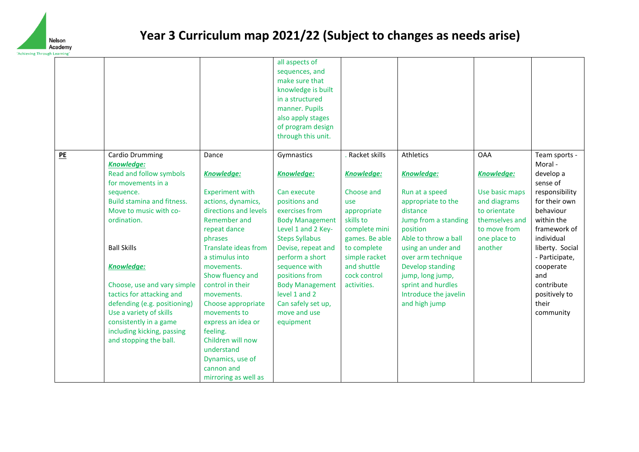

|    |                                                                                                                                                                                                                                                                                                                                                                                                                                      |                                                                                                                                                                                                                                                                                                                                                                                                            | all aspects of<br>sequences, and<br>make sure that<br>knowledge is built<br>in a structured<br>manner. Pupils<br>also apply stages<br>of program design<br>through this unit.                                                                                                                                                        |                                                                                                                                                                                               |                                                                                                                                                                                                                                                                                                    |                                                                                                                                                |                                                                                                                                                                                                                                                             |
|----|--------------------------------------------------------------------------------------------------------------------------------------------------------------------------------------------------------------------------------------------------------------------------------------------------------------------------------------------------------------------------------------------------------------------------------------|------------------------------------------------------------------------------------------------------------------------------------------------------------------------------------------------------------------------------------------------------------------------------------------------------------------------------------------------------------------------------------------------------------|--------------------------------------------------------------------------------------------------------------------------------------------------------------------------------------------------------------------------------------------------------------------------------------------------------------------------------------|-----------------------------------------------------------------------------------------------------------------------------------------------------------------------------------------------|----------------------------------------------------------------------------------------------------------------------------------------------------------------------------------------------------------------------------------------------------------------------------------------------------|------------------------------------------------------------------------------------------------------------------------------------------------|-------------------------------------------------------------------------------------------------------------------------------------------------------------------------------------------------------------------------------------------------------------|
| PE | Cardio Drumming<br><b>Knowledge:</b><br>Read and follow symbols<br>for movements in a<br>sequence.<br><b>Build stamina and fitness.</b><br>Move to music with co-<br>ordination.<br><b>Ball Skills</b><br><b>Knowledge:</b><br>Choose, use and vary simple<br>tactics for attacking and<br>defending (e.g. positioning)<br>Use a variety of skills<br>consistently in a game<br>including kicking, passing<br>and stopping the ball. | Dance<br>Knowledge:<br><b>Experiment with</b><br>actions, dynamics,<br>directions and levels<br>Remember and<br>repeat dance<br>phrases<br><b>Translate ideas from</b><br>a stimulus into<br>movements.<br>Show fluency and<br>control in their<br>movements.<br>Choose appropriate<br>movements to<br>express an idea or<br>feeling.<br>Children will now<br>understand<br>Dynamics, use of<br>cannon and | Gymnastics<br><b>Knowledge:</b><br>Can execute<br>positions and<br>exercises from<br><b>Body Management</b><br>Level 1 and 2 Key-<br><b>Steps Syllabus</b><br>Devise, repeat and<br>perform a short<br>sequence with<br>positions from<br><b>Body Management</b><br>level 1 and 2<br>Can safely set up,<br>move and use<br>equipment | Racket skills<br>Knowledge:<br>Choose and<br>use<br>appropriate<br>skills to<br>complete mini<br>games. Be able<br>to complete<br>simple racket<br>and shuttle<br>cock control<br>activities. | Athletics<br><b>Knowledge:</b><br>Run at a speed<br>appropriate to the<br>distance<br>Jump from a standing<br>position<br>Able to throw a ball<br>using an under and<br>over arm technique<br>Develop standing<br>jump, long jump,<br>sprint and hurdles<br>Introduce the javelin<br>and high jump | <b>OAA</b><br><b>Knowledge:</b><br>Use basic maps<br>and diagrams<br>to orientate<br>themselves and<br>to move from<br>one place to<br>another | Team sports -<br>Moral -<br>develop a<br>sense of<br>responsibility<br>for their own<br>behaviour<br>within the<br>framework of<br>individual<br>liberty. Social<br>- Participate,<br>cooperate<br>and<br>contribute<br>positively to<br>their<br>community |
|    |                                                                                                                                                                                                                                                                                                                                                                                                                                      | mirroring as well as                                                                                                                                                                                                                                                                                                                                                                                       |                                                                                                                                                                                                                                                                                                                                      |                                                                                                                                                                                               |                                                                                                                                                                                                                                                                                                    |                                                                                                                                                |                                                                                                                                                                                                                                                             |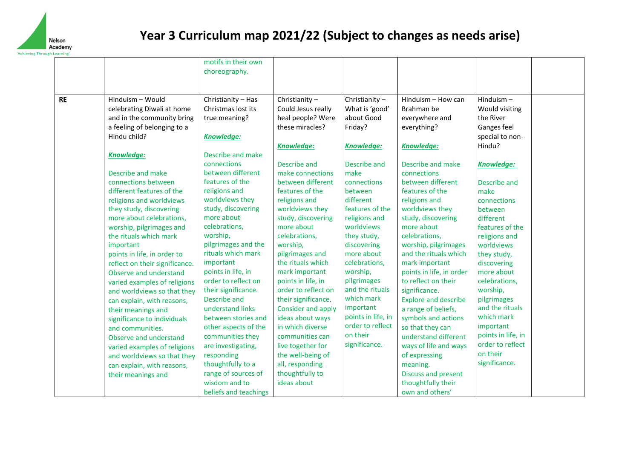

| ougn Learning |                                                                                                                                                                                                                                                                                                                                                                                                                                                                                                                                      | motifs in their own<br>choreography.                                                                                                                                                                                                                                                                                                                                                                               |                                                                                                                                                                                                                                                                                                                                                                                              |                                                                                                                                                                                                                                                                                                           |                                                                                                                                                                                                                                                                                                                                                                                                                                   |                                                                                                                                                                                                                                                                                         |  |
|---------------|--------------------------------------------------------------------------------------------------------------------------------------------------------------------------------------------------------------------------------------------------------------------------------------------------------------------------------------------------------------------------------------------------------------------------------------------------------------------------------------------------------------------------------------|--------------------------------------------------------------------------------------------------------------------------------------------------------------------------------------------------------------------------------------------------------------------------------------------------------------------------------------------------------------------------------------------------------------------|----------------------------------------------------------------------------------------------------------------------------------------------------------------------------------------------------------------------------------------------------------------------------------------------------------------------------------------------------------------------------------------------|-----------------------------------------------------------------------------------------------------------------------------------------------------------------------------------------------------------------------------------------------------------------------------------------------------------|-----------------------------------------------------------------------------------------------------------------------------------------------------------------------------------------------------------------------------------------------------------------------------------------------------------------------------------------------------------------------------------------------------------------------------------|-----------------------------------------------------------------------------------------------------------------------------------------------------------------------------------------------------------------------------------------------------------------------------------------|--|
| RE            | Hinduism - Would<br>celebrating Diwali at home<br>and in the community bring<br>a feeling of belonging to a<br>Hindu child?                                                                                                                                                                                                                                                                                                                                                                                                          | Christianity - Has<br>Christmas lost its<br>true meaning?<br><b>Knowledge:</b>                                                                                                                                                                                                                                                                                                                                     | Christianity-<br>Could Jesus really<br>heal people? Were<br>these miracles?<br>Knowledge:                                                                                                                                                                                                                                                                                                    | Christianity-<br>What is 'good'<br>about Good<br>Friday?<br><b>Knowledge:</b>                                                                                                                                                                                                                             | Hinduism - How can<br>Brahman be<br>everywhere and<br>everything?<br>Knowledge:                                                                                                                                                                                                                                                                                                                                                   | Hinduism $-$<br>Would visiting<br>the River<br>Ganges feel<br>special to non-<br>Hindu?                                                                                                                                                                                                 |  |
|               | Knowledge:<br>Describe and make<br>connections between<br>different features of the<br>religions and worldviews<br>they study, discovering<br>more about celebrations,<br>worship, pilgrimages and<br>the rituals which mark<br>important<br>points in life, in order to<br>reflect on their significance.<br>Observe and understand<br>varied examples of religions<br>and worldviews so that they<br>can explain, with reasons,<br>their meanings and<br>significance to individuals<br>and communities.<br>Observe and understand | Describe and make<br>connections<br>between different<br>features of the<br>religions and<br>worldviews they<br>study, discovering<br>more about<br>celebrations,<br>worship,<br>pilgrimages and the<br>rituals which mark<br>important<br>points in life, in<br>order to reflect on<br>their significance.<br>Describe and<br>understand links<br>between stories and<br>other aspects of the<br>communities they | Describe and<br>make connections<br>between different<br>features of the<br>religions and<br>worldviews they<br>study, discovering<br>more about<br>celebrations,<br>worship,<br>pilgrimages and<br>the rituals which<br>mark important<br>points in life, in<br>order to reflect on<br>their significance.<br>Consider and apply<br>ideas about ways<br>in which diverse<br>communities can | Describe and<br>make<br>connections<br>between<br>different<br>features of the<br>religions and<br>worldviews<br>they study,<br>discovering<br>more about<br>celebrations,<br>worship,<br>pilgrimages<br>and the rituals<br>which mark<br>important<br>points in life, in<br>order to reflect<br>on their | Describe and make<br>connections<br>between different<br>features of the<br>religions and<br>worldviews they<br>study, discovering<br>more about<br>celebrations,<br>worship, pilgrimages<br>and the rituals which<br>mark important<br>points in life, in order<br>to reflect on their<br>significance.<br><b>Explore and describe</b><br>a range of beliefs,<br>symbols and actions<br>so that they can<br>understand different | Knowledge:<br>Describe and<br>make<br>connections<br>between<br>different<br>features of the<br>religions and<br>worldviews<br>they study,<br>discovering<br>more about<br>celebrations,<br>worship,<br>pilgrimages<br>and the rituals<br>which mark<br>important<br>points in life, in |  |
|               | varied examples of religions<br>and worldviews so that they<br>can explain, with reasons,<br>their meanings and                                                                                                                                                                                                                                                                                                                                                                                                                      | are investigating,<br>responding<br>thoughtfully to a<br>range of sources of<br>wisdom and to<br>beliefs and teachings                                                                                                                                                                                                                                                                                             | live together for<br>the well-being of<br>all, responding<br>thoughtfully to<br>ideas about                                                                                                                                                                                                                                                                                                  | significance.                                                                                                                                                                                                                                                                                             | ways of life and ways<br>of expressing<br>meaning.<br>Discuss and present<br>thoughtfully their<br>own and others'                                                                                                                                                                                                                                                                                                                | order to reflect<br>on their<br>significance.                                                                                                                                                                                                                                           |  |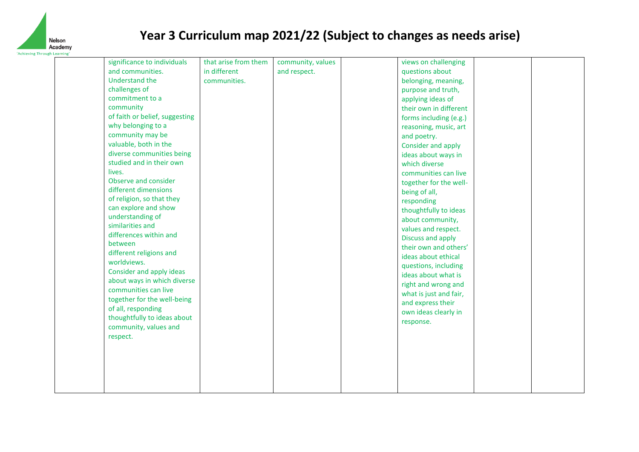